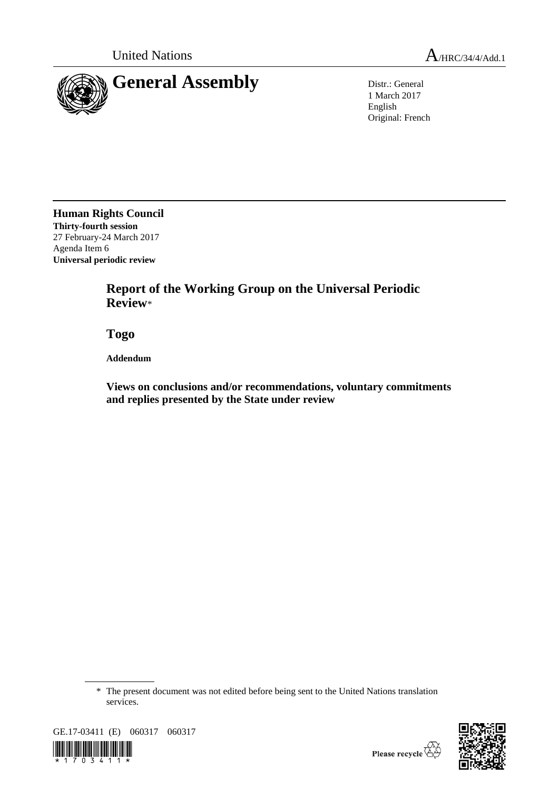



1 March 2017 English Original: French

**Human Rights Council Thirty-fourth session** 27 February-24 March 2017 Agenda Item 6 **Universal periodic review**

> **Report of the Working Group on the Universal Periodic Review**\*

**Togo**

**Addendum**

**Views on conclusions and/or recommendations, voluntary commitments and replies presented by the State under review**

<sup>\*</sup> The present document was not edited before being sent to the United Nations translation services.



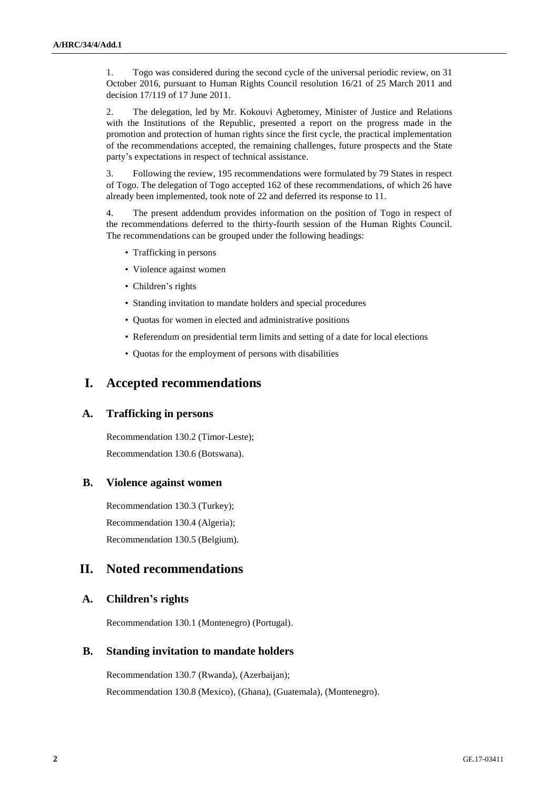1. Togo was considered during the second cycle of the universal periodic review, on 31 October 2016, pursuant to Human Rights Council resolution 16/21 of 25 March 2011 and decision 17/119 of 17 June 2011.

2. The delegation, led by Mr. Kokouvi Agbetomey, Minister of Justice and Relations with the Institutions of the Republic, presented a report on the progress made in the promotion and protection of human rights since the first cycle, the practical implementation of the recommendations accepted, the remaining challenges, future prospects and the State party's expectations in respect of technical assistance.

3. Following the review, 195 recommendations were formulated by 79 States in respect of Togo. The delegation of Togo accepted 162 of these recommendations, of which 26 have already been implemented, took note of 22 and deferred its response to 11.

4. The present addendum provides information on the position of Togo in respect of the recommendations deferred to the thirty-fourth session of the Human Rights Council. The recommendations can be grouped under the following headings:

- Trafficking in persons
- Violence against women
- Children's rights
- Standing invitation to mandate holders and special procedures
- Quotas for women in elected and administrative positions
- Referendum on presidential term limits and setting of a date for local elections
- Quotas for the employment of persons with disabilities

## **I. Accepted recommendations**

#### **A. Trafficking in persons**

Recommendation 130.2 (Timor-Leste); Recommendation 130.6 (Botswana).

#### **B. Violence against women**

Recommendation 130.3 (Turkey); Recommendation 130.4 (Algeria); Recommendation 130.5 (Belgium).

### **II. Noted recommendations**

#### **A. Children's rights**

Recommendation 130.1 (Montenegro) (Portugal).

### **B. Standing invitation to mandate holders**

Recommendation 130.7 (Rwanda), (Azerbaijan); Recommendation 130.8 (Mexico), (Ghana), (Guatemala), (Montenegro).